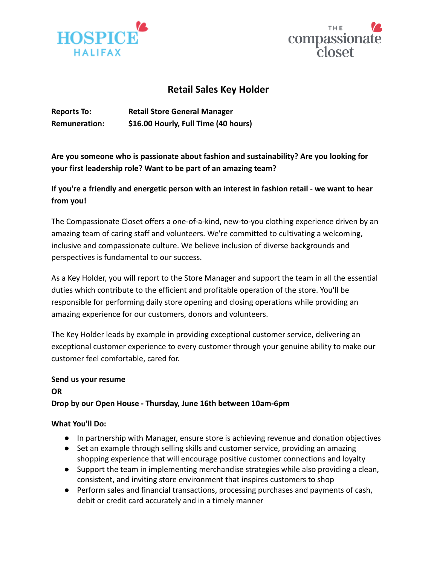



# **Retail Sales Key Holder**

**Reports To: Retail Store General Manager Remuneration: \$16.00 Hourly, Full Time (40 hours)**

**Are you someone who is passionate about fashion and sustainability? Are you looking for your first leadership role? Want to be part of an amazing team?**

# **If you're a friendly and energetic person with an interest in fashion retail - we want to hear from you!**

The Compassionate Closet offers a one-of-a-kind, new-to-you clothing experience driven by an amazing team of caring staff and volunteers. We're committed to cultivating a welcoming, inclusive and compassionate culture. We believe inclusion of diverse backgrounds and perspectives is fundamental to our success.

As a Key Holder, you will report to the Store Manager and support the team in all the essential duties which contribute to the efficient and profitable operation of the store. You'll be responsible for performing daily store opening and closing operations while providing an amazing experience for our customers, donors and volunteers.

The Key Holder leads by example in providing exceptional customer service, delivering an exceptional customer experience to every customer through your genuine ability to make our customer feel comfortable, cared for.

# **Send us your resume**

**OR Drop by our Open House - Thursday, June 16th between 10am-6pm**

## **What You'll Do:**

- In partnership with Manager, ensure store is achieving revenue and donation objectives
- Set an example through selling skills and customer service, providing an amazing shopping experience that will encourage positive customer connections and loyalty
- Support the team in implementing merchandise strategies while also providing a clean, consistent, and inviting store environment that inspires customers to shop
- Perform sales and financial transactions, processing purchases and payments of cash, debit or credit card accurately and in a timely manner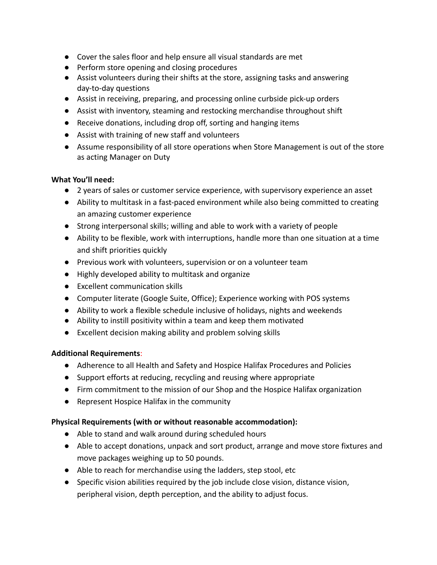- Cover the sales floor and help ensure all visual standards are met
- Perform store opening and closing procedures
- Assist volunteers during their shifts at the store, assigning tasks and answering day-to-day questions
- Assist in receiving, preparing, and processing online curbside pick-up orders
- Assist with inventory, steaming and restocking merchandise throughout shift
- Receive donations, including drop off, sorting and hanging items
- Assist with training of new staff and volunteers
- Assume responsibility of all store operations when Store Management is out of the store as acting Manager on Duty

#### **What You'll need:**

- 2 years of sales or customer service experience, with supervisory experience an asset
- Ability to multitask in a fast-paced environment while also being committed to creating an amazing customer experience
- Strong interpersonal skills; willing and able to work with a variety of people
- Ability to be flexible, work with interruptions, handle more than one situation at a time and shift priorities quickly
- Previous work with volunteers, supervision or on a volunteer team
- Highly developed ability to multitask and organize
- Excellent communication skills
- Computer literate (Google Suite, Office); Experience working with POS systems
- Ability to work a flexible schedule inclusive of holidays, nights and weekends
- Ability to instill positivity within a team and keep them motivated
- Excellent decision making ability and problem solving skills

## **Additional Requirements**:

- Adherence to all Health and Safety and Hospice Halifax Procedures and Policies
- Support efforts at reducing, recycling and reusing where appropriate
- Firm commitment to the mission of our Shop and the Hospice Halifax organization
- Represent Hospice Halifax in the community

## **Physical Requirements (with or without reasonable accommodation):**

- Able to stand and walk around during scheduled hours
- Able to accept donations, unpack and sort product, arrange and move store fixtures and move packages weighing up to 50 pounds.
- Able to reach for merchandise using the ladders, step stool, etc
- Specific vision abilities required by the job include close vision, distance vision, peripheral vision, depth perception, and the ability to adjust focus.